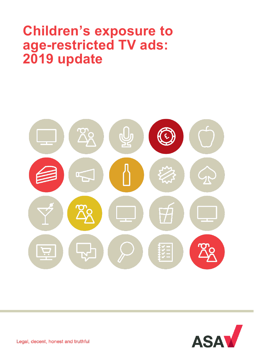# **Children's exposure to age-restricted TV ads: 2019 update**





Legal, decent, honest and truthful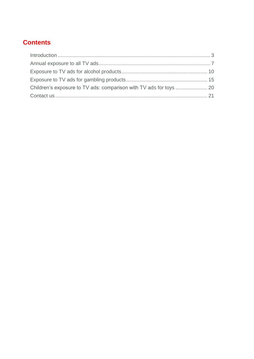# **Contents**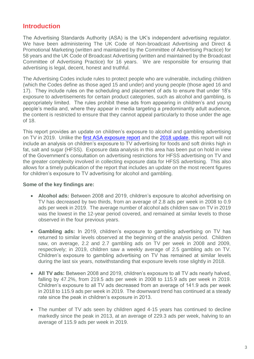# <span id="page-2-0"></span>**Introduction**

The Advertising Standards Authority (ASA) is the UK's independent advertising regulator. We have been administering The UK Code of Non-broadcast Advertising and Direct & Promotional Marketing (written and maintained by the Committee of Advertising Practice) for 58 years and the UK Code of Broadcast Advertising (written and maintained by the Broadcast Committee of Advertising Practice) for 16 years. We are responsible for ensuring that advertising is legal, decent, honest and truthful.

The Advertising Codes include rules to protect people who are vulnerable, including children (which the Codes define as those aged 15 and under) and young people (those aged 16 and 17). They include rules on the scheduling and placement of ads to ensure that under 18's exposure to advertisements for certain product categories, such as alcohol and gambling, is appropriately limited. The rules prohibit these ads from appearing in children's and young people's media and, where they appear in media targeting a predominantly adult audience, the content is restricted to ensure that they cannot appeal particularly to those under the age of 18.

This report provides an update on children's exposure to alcohol and gambling advertising on TV in 2019. Unlike the [first ASA exposure report](https://www.asa.org.uk/uploads/assets/uploaded/229cd7e6-f9e2-4cf0-85a0a463add0ee2d.pdf) and the [2018 update,](https://www.asa.org.uk/uploads/assets/43045cf6-5c23-46f4-bc00bf0788af1893/dc5f0d25-5022-4e0a-836568c8f757e2a8/ASA-Exposure-Report-2018-and-Appendix.pdf) this report will not include an analysis on children's exposure to TV advertising for foods and soft drinks high in fat, salt and sugar (HFSS). Exposure data analysis in this area has been put on hold in view of the Government's consultation on advertising restrictions for HFSS advertising on TV and the greater complexity involved in collecting exposure data for HFSS advertising. This also allows for a timely publication of the report that includes an update on the most recent figures for children's exposure to TV advertising for alcohol and gambling.

### **Some of the key findings are:**

- **Alcohol ads:** Between 2008 and 2019, children's exposure to alcohol advertising on TV has decreased by two thirds, from an average of 2.8 ads per week in 2008 to 0.9 ads per week in 2019. The average number of alcohol ads children saw on TV in 2019 was the lowest in the 12-year period covered, and remained at similar levels to those observed in the four previous years.
- **Gambling ads:** In 2019, children's exposure to gambling advertising on TV has returned to similar levels observed at the beginning of the analysis period. Children saw, on average, 2.2 and 2.7 gambling ads on TV per week in 2008 and 2009, respectively; in 2019, children saw a weekly average of 2.5 gambling ads on TV. Children's exposure to gambling advertising on TV has remained at similar levels during the last six years, notwithstanding that exposure levels rose slightly in 2018.
- All TV ads: Between 2008 and 2019, children's exposure to all TV ads nearly halved, falling by 47.2%, from 219.5 ads per week in 2008 to 115.9 ads per week in 2019. Children's exposure to all TV ads decreased from an average of 141.9 ads per week in 2018 to 115.9 ads per week in 2019. The downward trend has continued at a steady rate since the peak in children's exposure in 2013.
- The number of TV ads seen by children aged 4-15 years has continued to decline markedly since the peak in 2013, at an average of 229.3 ads per week, halving to an average of 115.9 ads per week in 2019.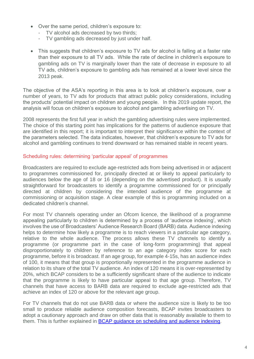- Over the same period, children's exposure to:
	- TV alcohol ads decreased by two thirds;
	- TV gambling ads decreased by just under half.
- This suggests that children's exposure to TV ads for alcohol is falling at a faster rate than their exposure to all TV ads. While the rate of decline in children's exposure to gambling ads on TV is marginally lower than the rate of decrease in exposure to all TV ads, children's exposure to gambling ads has remained at a lower level since the 2013 peak.

The objective of the ASA's reporting in this area is to look at children's exposure, over a number of years, to TV ads for products that attract public policy considerations, including the products' potential impact on children and young people. In this 2019 update report, the analysis will focus on children's exposure to alcohol and gambling advertising on TV.

2008 represents the first full year in which the gambling advertising rules were implemented. The choice of this starting point has implications for the patterns of audience exposure that are identified in this report; it is important to interpret their significance within the context of the parameters selected. The data indicates, however, that children's exposure to TV ads for alcohol and gambling continues to trend downward or has remained stable in recent years.

### Scheduling rules: determining 'particular appeal' of programmes

Broadcasters are required to exclude age-restricted ads from being advertised in or adjacent to programmes commissioned for, principally directed at or likely to appeal particularly to audiences below the age of 18 or 16 (depending on the advertised product). It is usually straightforward for broadcasters to identify a programme commissioned for or principally directed at children by considering the intended audience of the programme at commissioning or acquisition stage. A clear example of this is programming included on a dedicated children's channel.

For most TV channels operating under an Ofcom licence, the likelihood of a programme appealing particularly to children is determined by a process of 'audience indexing', which involves the use of Broadcasters' Audience Research Board (BARB) data. Audience indexing helps to determine how likely a programme is to reach viewers in a particular age category, relative to the whole audience. The process allows these TV channels to identify a programme (or programme part in the case of long-form programming) that appeal disproportionately to children by reference to an age category index score for each programme, before it is broadcast. If an age group, for example 4-15s, has an audience index of 100, it means that that group is proportionally represented in the programme audience in relation to its share of the total TV audience. An index of 120 means it is over-represented by 20%, which BCAP considers to be a sufficiently significant share of the audience to indicate that the programme is likely to have particular appeal to that age group. Therefore, TV channels that have access to BARB data are required to exclude age-restricted ads that achieve an index of 120 or above for the relevant age group.

For TV channels that do not use BARB data or where the audience size is likely to be too small to produce reliable audience composition forecasts, BCAP invites broadcasters to adopt a cautionary approach and draw on other data that is reasonably available to them to them. This is further explained in BCAP [guidance on scheduling and audience indexing.](https://www.asa.org.uk/asset/5C17A200-71C9-4B65-811992DD91BD2CC4/)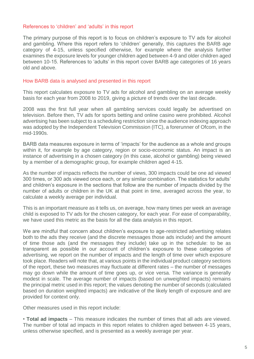#### References to 'children' and 'adults' in this report

The primary purpose of this report is to focus on children's exposure to TV ads for alcohol and gambling. Where this report refers to 'children' generally, this captures the BARB age category of 4-15, unless specified otherwise, for example where the analysis further examines the exposure levels for younger children aged between 4-9 and older children aged between 10-15. References to 'adults' in this report cover BARB age categories of 16 years old and above.

#### How BARB data is analysed and presented in this report

This report calculates exposure to TV ads for alcohol and gambling on an average weekly basis for each year from 2008 to 2019, giving a picture of trends over the last decade.

2008 was the first full year when all gambling services could legally be advertised on television. Before then, TV ads for sports betting and online casino were prohibited. Alcohol advertising has been subject to a scheduling restriction since the audience indexing approach was adopted by the Independent Television Commission (ITC), a forerunner of Ofcom, in the mid-1990s.

BARB data measures exposure in terms of 'impacts' for the audience as a whole and groups within it, for example by age category, region or socio-economic status. An impact is an instance of advertising in a chosen category (in this case, alcohol or gambling) being viewed by a member of a demographic group, for example children aged 4-15.

As the number of impacts reflects the number of views, 300 impacts could be one ad viewed 300 times, or 300 ads viewed once each, or any similar combination. The statistics for adults' and children's exposure in the sections that follow are the number of impacts divided by the number of adults or children in the UK at that point in time, averaged across the year, to calculate a weekly average per individual.

This is an important measure as it tells us, on average, how many times per week an average child is exposed to TV ads for the chosen category, for each year. For ease of comparability, we have used this metric as the basis for all the data analysis in this report.

We are mindful that concern about children's exposure to age-restricted advertising relates both to the ads they receive (and the discrete messages those ads include) and the amount of time those ads (and the messages they include) take up in the schedule: to be as transparent as possible in our account of children's exposure to these categories of advertising, we report on the number of impacts and the length of time over which exposure took place. Readers will note that, at various points in the individual product category sections of the report, these two measures may fluctuate at different rates – the number of messages may go down while the amount of time goes up, or vice versa. The variance is generally modest in scale. The average number of impacts (based on unweighted impacts) remains the principal metric used in this report; the values denoting the number of seconds (calculated based on duration weighted impacts) are indicative of the likely length of exposure and are provided for context only.

Other measures used in this report include:

• **Total ad impacts** – This measure indicates the number of times that all ads are viewed. The number of total ad impacts in this report relates to children aged between 4-15 years, unless otherwise specified, and is presented as a weekly average per year.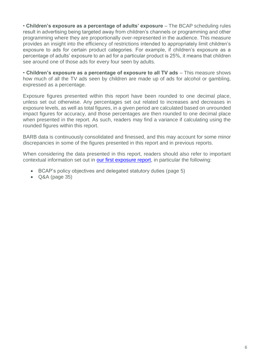• **Children's exposure as a percentage of adults' exposure** – The BCAP scheduling rules result in advertising being targeted away from children's channels or programming and other programming where they are proportionally over-represented in the audience. This measure provides an insight into the efficiency of restrictions intended to appropriately limit children's exposure to ads for certain product categories. For example, if children's exposure as a percentage of adults' exposure to an ad for a particular product is 25%, it means that children see around one of those ads for every four seen by adults.

• **Children's exposure as a percentage of exposure to all TV ads** – This measure shows how much of all the TV ads seen by children are made up of ads for alcohol or gambling, expressed as a percentage.

Exposure figures presented within this report have been rounded to one decimal place, unless set out otherwise. Any percentages set out related to increases and decreases in exposure levels, as well as total figures, in a given period are calculated based on unrounded impact figures for accuracy, and those percentages are then rounded to one decimal place when presented in the report. As such, readers may find a variance if calculating using the rounded figures within this report.

BARB data is continuously consolidated and finessed, and this may account for some minor discrepancies in some of the figures presented in this report and in previous reports.

When considering the data presented in this report, readers should also refer to important contextual information set out in **our first exposure report**, in particular the following:

- BCAP's policy objectives and delegated statutory duties (page 5)
- Q&A (page 35)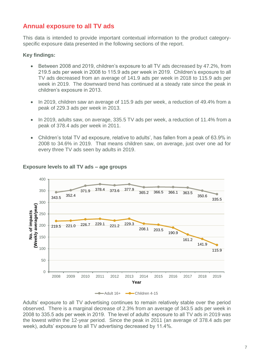# <span id="page-6-0"></span>**Annual exposure to all TV ads**

This data is intended to provide important contextual information to the product categoryspecific exposure data presented in the following sections of the report.

#### **Key findings:**

- Between 2008 and 2019, children's exposure to all TV ads decreased by 47.2%, from 219.5 ads per week in 2008 to 115.9 ads per week in 2019. Children's exposure to all TV ads decreased from an average of 141.9 ads per week in 2018 to 115.9 ads per week in 2019. The downward trend has continued at a steady rate since the peak in children's exposure in 2013.
- In 2019, children saw an average of 115.9 ads per week, a reduction of 49.4% from a peak of 229.3 ads per week in 2013.
- In 2019, adults saw, on average, 335.5 TV ads per week, a reduction of 11.4% from a peak of 378.4 ads per week in 2011.
- Children's total TV ad exposure, relative to adults', has fallen from a peak of 63.9% in 2008 to 34.6% in 2019. That means children saw, on average, just over one ad for every three TV ads seen by adults in 2019.



#### **Exposure levels to all TV ads – age groups**

Adults' exposure to all TV advertising continues to remain relatively stable over the period observed. There is a marginal decrease of 2.3% from an average of 343.5 ads per week in 2008 to 335.5 ads per week in 2019. The level of adults' exposure to all TV ads in 2019 was the lowest within the 12-year period. Since the peak in 2011 (an average of 378.4 ads per week), adults' exposure to all TV advertising decreased by 11.4%.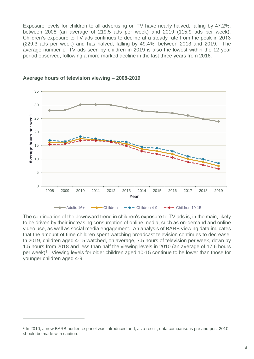Exposure levels for children to all advertising on TV have nearly halved, falling by 47.2%, between 2008 (an average of 219.5 ads per week) and 2019 (115.9 ads per week). Children's exposure to TV ads continues to decline at a steady rate from the peak in 2013 (229.3 ads per week) and has halved, falling by 49.4%, between 2013 and 2019. The average number of TV ads seen by children in 2019 is also the lowest within the 12-year period observed, following a more marked decline in the last three years from 2016.



**Average hours of television viewing – 2008-2019**

The continuation of the downward trend in children's exposure to TV ads is, in the main, likely to be driven by their increasing consumption of online media, such as on-demand and online video use, as well as social media engagement. An analysis of BARB viewing data indicates that the amount of time children spent watching broadcast television continues to decrease. In 2019, children aged 4-15 watched, on average, 7.5 hours of television per week, down by 1.5 hours from 2018 and less than half the viewing levels in 2010 (an average of 17.6 hours per week)<sup>1</sup>. Viewing levels for older children aged 10-15 continue to be lower than those for younger children aged 4-9.

 $\overline{a}$ 

<sup>&</sup>lt;sup>1</sup> In 2010, a new BARB audience panel was introduced and, as a result, data comparisons pre and post 2010 should be made with caution.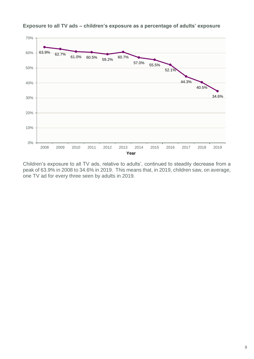

**Exposure to all TV ads – children's exposure as a percentage of adults' exposure**

Children's exposure to all TV ads, relative to adults', continued to steadily decrease from a peak of 63.9% in 2008 to 34.6% in 2019. This means that, in 2019, children saw, on average, one TV ad for every three seen by adults in 2019.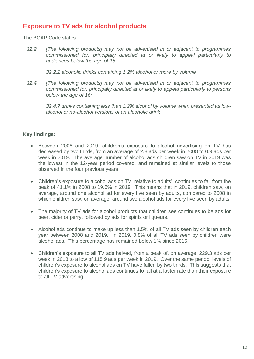# <span id="page-9-0"></span>**Exposure to TV ads for alcohol products**

The BCAP Code states:

*32.2 [The following products] may not be advertised in or adjacent to programmes commissioned for, principally directed at or likely to appeal particularly to audiences below the age of 18:*

*32.2.1 alcoholic drinks containing 1.2% alcohol or more by volume* 

*32.4 [The following products] may not be advertised in or adjacent to programmes commissioned for, principally directed at or likely to appeal particularly to persons below the age of 16:*

*32.4.7 drinks containing less than 1.2% alcohol by volume when presented as lowalcohol or no-alcohol versions of an alcoholic drink*

## **Key findings:**

- Between 2008 and 2019, children's exposure to alcohol advertising on TV has decreased by two thirds, from an average of 2.8 ads per week in 2008 to 0.9 ads per week in 2019. The average number of alcohol ads children saw on TV in 2019 was the lowest in the 12-year period covered, and remained at similar levels to those observed in the four previous years.
- Children's exposure to alcohol ads on TV, relative to adults', continues to fall from the peak of 41.1% in 2008 to 19.6% in 2019. This means that in 2019, children saw, on average, around one alcohol ad for every five seen by adults, compared to 2008 in which children saw, on average, around two alcohol ads for every five seen by adults.
- The majority of TV ads for alcohol products that children see continues to be ads for beer, cider or perry, followed by ads for spirits or liqueurs.
- Alcohol ads continue to make up less than 1.5% of all TV ads seen by children each year between 2008 and 2019. In 2019, 0.8% of all TV ads seen by children were alcohol ads. This percentage has remained below 1% since 2015.
- Children's exposure to all TV ads halved, from a peak of, on average, 229.3 ads per week in 2013 to a low of 115.9 ads per week in 2019. Over the same period, levels of children's exposure to alcohol ads on TV have fallen by two thirds. This suggests that children's exposure to alcohol ads continues to fall at a faster rate than their exposure to all TV advertising.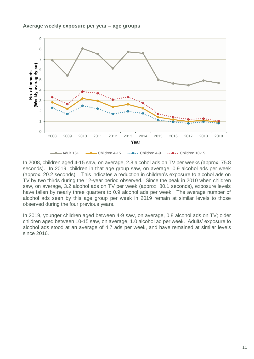#### **Average weekly exposure per year – age groups**



In 2008, children aged 4-15 saw, on average, 2.8 alcohol ads on TV per weeks (approx. 75.8 seconds). In 2019, children in that age group saw, on average, 0.9 alcohol ads per week (approx. 20.2 seconds). This indicates a reduction in children's exposure to alcohol ads on TV by two thirds during the 12-year period observed. Since the peak in 2010 when children saw, on average, 3.2 alcohol ads on TV per week (approx. 80.1 seconds), exposure levels have fallen by nearly three quarters to 0.9 alcohol ads per week. The average number of alcohol ads seen by this age group per week in 2019 remain at similar levels to those observed during the four previous years.

In 2019, younger children aged between 4-9 saw, on average, 0.8 alcohol ads on TV; older children aged between 10-15 saw, on average, 1.0 alcohol ad per week. Adults' exposure to alcohol ads stood at an average of 4.7 ads per week, and have remained at similar levels since 2016.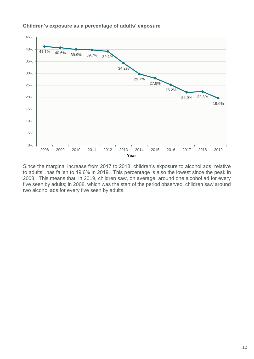

## **Children's exposure as a percentage of adults' exposure**

Since the marginal increase from 2017 to 2018, children's exposure to alcohol ads, relative to adults', has fallen to 19.6% in 2019. This percentage is also the lowest since the peak in 2008. This means that, in 2019, children saw, on average, around one alcohol ad for every five seen by adults; in 2008, which was the start of the period observed, children saw around two alcohol ads for every five seen by adults.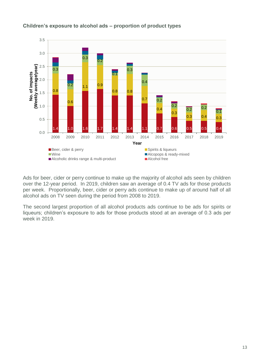

## **Children's exposure to alcohol ads – proportion of product types**

Ads for beer, cider or perry continue to make up the majority of alcohol ads seen by children over the 12-year period. In 2019, children saw an average of 0.4 TV ads for those products per week. Proportionally, beer, cider or perry ads continue to make up of around half of all alcohol ads on TV seen during the period from 2008 to 2019.

The second largest proportion of all alcohol products ads continue to be ads for spirits or liqueurs; children's exposure to ads for those products stood at an average of 0.3 ads per week in 2019.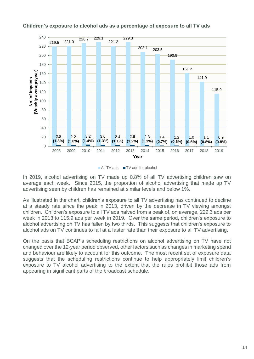

### **Children's exposure to alcohol ads as a percentage of exposure to all TV ads**



In 2019, alcohol advertising on TV made up 0.8% of all TV advertising children saw on average each week. Since 2015, the proportion of alcohol advertising that made up TV advertising seen by children has remained at similar levels and below 1%.

As illustrated in the chart, children's exposure to all TV advertising has continued to decline at a steady rate since the peak in 2013, driven by the decrease in TV viewing amongst children. Children's exposure to all TV ads halved from a peak of, on average, 229.3 ads per week in 2013 to 115.9 ads per week in 2019. Over the same period, children's exposure to alcohol advertising on TV has fallen by two thirds. This suggests that children's exposure to alcohol ads on TV continues to fall at a faster rate than their exposure to all TV advertising.

<span id="page-13-0"></span>On the basis that BCAP's scheduling restrictions on alcohol advertising on TV have not changed over the 12-year period observed, other factors such as changes in marketing spend and behaviour are likely to account for this outcome. The most recent set of exposure data suggests that the scheduling restrictions continue to help appropriately limit children's exposure to TV alcohol advertising to the extent that the rules prohibit those ads from appearing in significant parts of the broadcast schedule.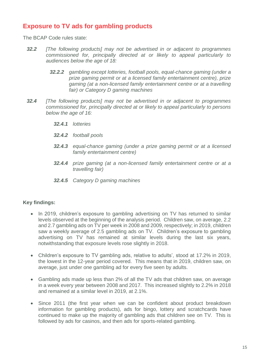# **Exposure to TV ads for gambling products**

The BCAP Code rules state:

- *32.2 [The following products] may not be advertised in or adjacent to programmes commissioned for, principally directed at or likely to appeal particularly to audiences below the age of 18:*
	- *32.2.2 gambling except lotteries, football pools, equal-chance gaming (under a prize gaming permit or at a licensed family entertainment centre), prize gaming (at a non-licensed family entertainment centre or at a travelling fair) or Category D gaming machines*
- *32.4 [The following products] may not be advertised in or adjacent to programmes commissioned for, principally directed at or likely to appeal particularly to persons below the age of 16:*
	- *32.4.1 lotteries*
	- *32.4.2 football pools*
	- *32.4.3 equal-chance gaming (under a prize gaming permit or at a licensed family entertainment centre)*
	- *32.4.4 prize gaming (at a non-licensed family entertainment centre or at a travelling fair)*
	- *32.4.5 Category D gaming machines*

## **Key findings:**

- In 2019, children's exposure to gambling advertising on TV has returned to similar levels observed at the beginning of the analysis period. Children saw, on average, 2.2 and 2.7 gambling ads on TV per week in 2008 and 2009, respectively; in 2019, children saw a weekly average of 2.5 gambling ads on TV. Children's exposure to gambling advertising on TV has remained at similar levels during the last six years, notwithstanding that exposure levels rose slightly in 2018.
- Children's exposure to TV gambling ads, relative to adults', stood at 17.2% in 2019, the lowest in the 12-year period covered. This means that in 2019, children saw, on average, just under one gambling ad for every five seen by adults.
- Gambling ads made up less than 2% of all the TV ads that children saw, on average in a week every year between 2008 and 2017. This increased slightly to 2.2% in 2018 and remained at a similar level in 2019, at 2.1%.
- Since 2011 (the first year when we can be confident about product breakdown information for gambling products), ads for bingo, lottery and scratchcards have continued to make up the majority of gambling ads that children see on TV. This is followed by ads for casinos, and then ads for sports-related gambling.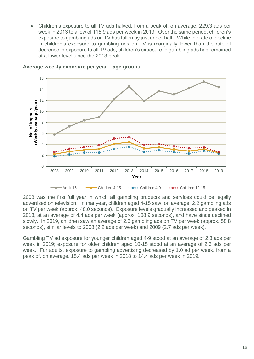Children's exposure to all TV ads halved, from a peak of, on average, 229.3 ads per week in 2013 to a low of 115.9 ads per week in 2019. Over the same period, children's exposure to gambling ads on TV has fallen by just under half. While the rate of decline in children's exposure to gambling ads on TV is marginally lower than the rate of decrease in exposure to all TV ads, children's exposure to gambling ads has remained at a lower level since the 2013 peak.



**Average weekly exposure per year – age groups**

2008 was the first full year in which all gambling products and services could be legally advertised on television. In that year, children aged 4-15 saw, on average, 2.2 gambling ads on TV per week (approx. 48.0 seconds). Exposure levels gradually increased and peaked in 2013, at an average of 4.4 ads per week (approx. 108.9 seconds), and have since declined slowly. In 2019, children saw an average of 2.5 gambling ads on TV per week (approx. 58.8 seconds), similar levels to 2008 (2.2 ads per week) and 2009 (2.7 ads per week).

Gambling TV ad exposure for younger children aged 4-9 stood at an average of 2.3 ads per week in 2019; exposure for older children aged 10-15 stood at an average of 2.6 ads per week. For adults, exposure to gambling advertising decreased by 1.0 ad per week, from a peak of, on average, 15.4 ads per week in 2018 to 14.4 ads per week in 2019.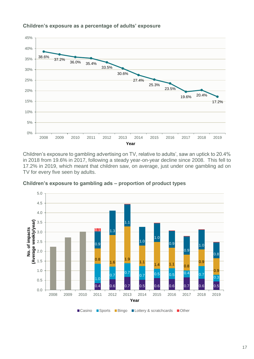

**Children's exposure as a percentage of adults' exposure** 

Children's exposure to gambling advertising on TV, relative to adults', saw an uptick to 20.4% in 2018 from 19.6% in 2017, following a steady year-on-year decline since 2008. This fell to 17.2% in 2019, which meant that children saw, on average, just under one gambling ad on TV for every five seen by adults.



**Children's exposure to gambling ads – proportion of product types**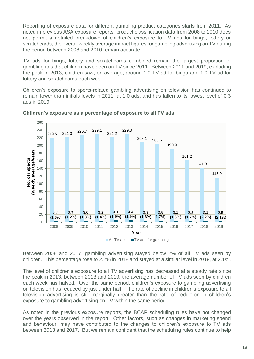Reporting of exposure data for different gambling product categories starts from 2011. As noted in previous ASA exposure reports, product classification data from 2008 to 2010 does not permit a detailed breakdown of children's exposure to TV ads for bingo, lottery or scratchcards; the overall weekly average impact figures for gambling advertising on TV during the period between 2008 and 2010 remain accurate.

TV ads for bingo, lottery and scratchcards combined remain the largest proportion of gambling ads that children have seen on TV since 2011. Between 2011 and 2019, excluding the peak in 2013, children saw, on average, around 1.0 TV ad for bingo and 1.0 TV ad for lottery and scratchcards each week.

Children's exposure to sports-related gambling advertising on television has continued to remain lower than initials levels in 2011, at 1.0 ads, and has fallen to its lowest level of 0.3 ads in 2019.



**Children's exposure as a percentage of exposure to all TV ads**

Between 2008 and 2017, gambling advertising stayed below 2% of all TV ads seen by children. This percentage rose to 2.2% in 2018 and stayed at a similar level in 2019, at 2.1%.

The level of children's exposure to all TV advertising has decreased at a steady rate since the peak in 2013; between 2013 and 2019, the average number of TV ads seen by children each week has halved. Over the same period, children's exposure to gambling advertising on television has reduced by just under half. The rate of decline in children's exposure to all television advertising is still marginally greater than the rate of reduction in children's exposure to gambling advertising on TV within the same period.

As noted in the previous exposure reports, the BCAP scheduling rules have not changed over the years observed in the report. Other factors, such as changes in marketing spend and behaviour, may have contributed to the changes to children's exposure to TV ads between 2013 and 2017. But we remain confident that the scheduling rules continue to help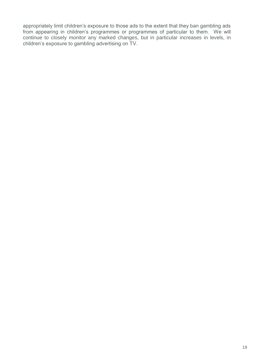appropriately limit children's exposure to those ads to the extent that they ban gambling ads from appearing in children's programmes or programmes of particular to them. We will continue to closely monitor any marked changes, but in particular increases in levels, in children's exposure to gambling advertising on TV.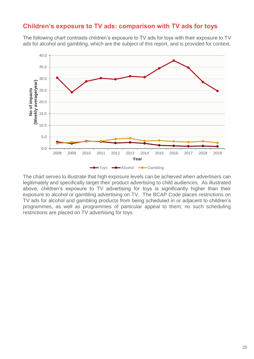# <span id="page-19-0"></span>**Children's exposure to TV ads: comparison with TV ads for toys**

The following chart contrasts children's exposure to TV ads for toys with their exposure to TV ads for alcohol and gambling, which are the subject of this report, and is provided for context.



The chart serves to illustrate that high exposure levels can be achieved when advertisers can legitimately and specifically target their product advertising to child audiences. As illustrated above, children's exposure to TV advertising for toys is significantly higher than their exposure to alcohol or gambling advertising on TV. The BCAP Code places restrictions on TV ads for alcohol and gambling products from being scheduled in or adjacent to children's programmes, as well as programmes of particular appeal to them; no such scheduling restrictions are placed on TV advertising for toys.